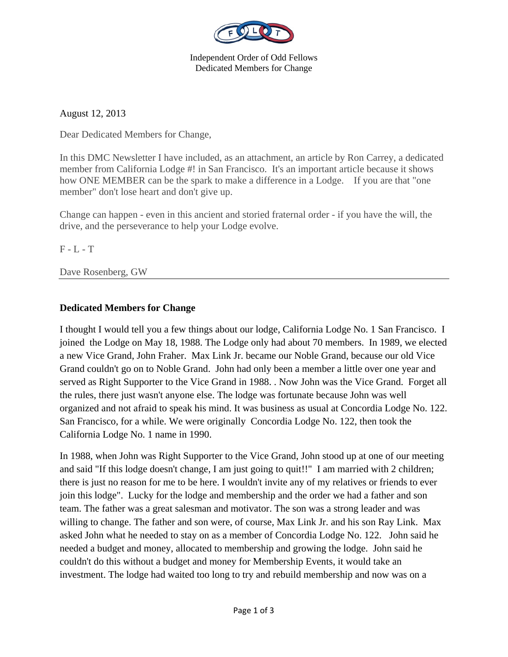

Independent Order of Odd Fellows Dedicated Members for Change

August 12, 2013

Dear Dedicated Members for Change,

In this DMC Newsletter I have included, as an attachment, an article by Ron Carrey, a dedicated member from California Lodge #! in San Francisco. It's an important article because it shows how ONE MEMBER can be the spark to make a difference in a Lodge. If you are that "one member" don't lose heart and don't give up.

Change can happen - even in this ancient and storied fraternal order - if you have the will, the drive, and the perseverance to help your Lodge evolve.

F - L - T

Dave Rosenberg, GW

## **Dedicated Members for Change**

I thought I would tell you a few things about our lodge, California Lodge No. 1 San Francisco. I joined the Lodge on May 18, 1988. The Lodge only had about 70 members. In 1989, we elected a new Vice Grand, John Fraher. Max Link Jr. became our Noble Grand, because our old Vice Grand couldn't go on to Noble Grand. John had only been a member a little over one year and served as Right Supporter to the Vice Grand in 1988. . Now John was the Vice Grand. Forget all the rules, there just wasn't anyone else. The lodge was fortunate because John was well organized and not afraid to speak his mind. It was business as usual at Concordia Lodge No. 122. San Francisco, for a while. We were originally Concordia Lodge No. 122, then took the California Lodge No. 1 name in 1990.

In 1988, when John was Right Supporter to the Vice Grand, John stood up at one of our meeting and said "If this lodge doesn't change, I am just going to quit!!" I am married with 2 children; there is just no reason for me to be here. I wouldn't invite any of my relatives or friends to ever join this lodge". Lucky for the lodge and membership and the order we had a father and son team. The father was a great salesman and motivator. The son was a strong leader and was willing to change. The father and son were, of course, Max Link Jr. and his son Ray Link. Max asked John what he needed to stay on as a member of Concordia Lodge No. 122. John said he needed a budget and money, allocated to membership and growing the lodge. John said he couldn't do this without a budget and money for Membership Events, it would take an investment. The lodge had waited too long to try and rebuild membership and now was on a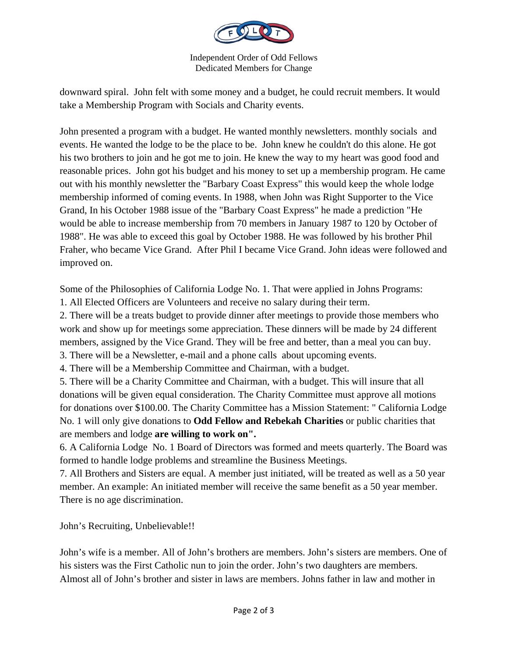

Independent Order of Odd Fellows Dedicated Members for Change

downward spiral. John felt with some money and a budget, he could recruit members. It would take a Membership Program with Socials and Charity events.

John presented a program with a budget. He wanted monthly newsletters. monthly socials and events. He wanted the lodge to be the place to be. John knew he couldn't do this alone. He got his two brothers to join and he got me to join. He knew the way to my heart was good food and reasonable prices. John got his budget and his money to set up a membership program. He came out with his monthly newsletter the "Barbary Coast Express" this would keep the whole lodge membership informed of coming events. In 1988, when John was Right Supporter to the Vice Grand, In his October 1988 issue of the "Barbary Coast Express" he made a prediction "He would be able to increase membership from 70 members in January 1987 to 120 by October of 1988". He was able to exceed this goal by October 1988. He was followed by his brother Phil Fraher, who became Vice Grand. After Phil I became Vice Grand. John ideas were followed and improved on.

Some of the Philosophies of California Lodge No. 1. That were applied in Johns Programs:

1. All Elected Officers are Volunteers and receive no salary during their term.

2. There will be a treats budget to provide dinner after meetings to provide those members who work and show up for meetings some appreciation. These dinners will be made by 24 different members, assigned by the Vice Grand. They will be free and better, than a meal you can buy.

3. There will be a Newsletter, e-mail and a phone calls about upcoming events.

4. There will be a Membership Committee and Chairman, with a budget.

5. There will be a Charity Committee and Chairman, with a budget. This will insure that all donations will be given equal consideration. The Charity Committee must approve all motions for donations over \$100.00. The Charity Committee has a Mission Statement: " California Lodge No. 1 will only give donations to **Odd Fellow and Rebekah Charities** or public charities that are members and lodge **are willing to work on".**

6. A California Lodge No. 1 Board of Directors was formed and meets quarterly. The Board was formed to handle lodge problems and streamline the Business Meetings.

7. All Brothers and Sisters are equal. A member just initiated, will be treated as well as a 50 year member. An example: An initiated member will receive the same benefit as a 50 year member. There is no age discrimination.

John's Recruiting, Unbelievable!!

John's wife is a member. All of John's brothers are members. John's sisters are members. One of his sisters was the First Catholic nun to join the order. John's two daughters are members. Almost all of John's brother and sister in laws are members. Johns father in law and mother in